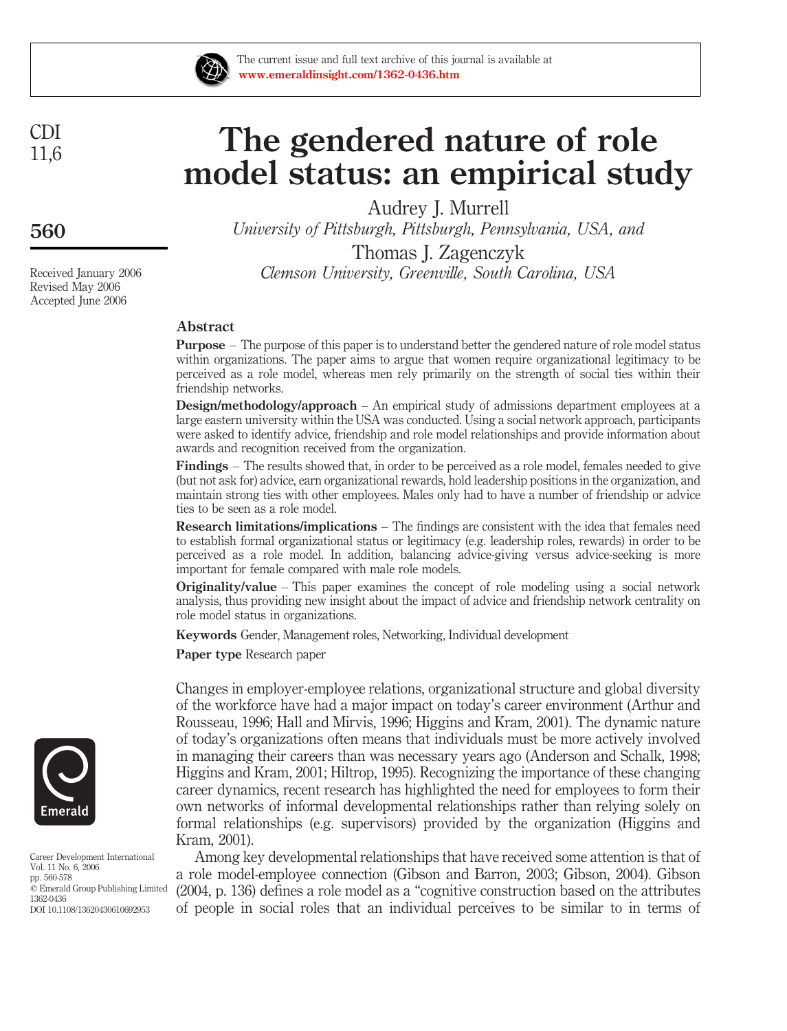

CDI 11,6

# 560

Received January 2006 Revised May 2006 Accepted June 2006

# The gendered nature of role model status: an empirical study

Audrey J. Murrell

University of Pittsburgh, Pittsburgh, Pennsylvania, USA, and

Thomas J. Zagenczyk Clemson University, Greenville, South Carolina, USA

# Abstract

Purpose – The purpose of this paper is to understand better the gendered nature of role model status within organizations. The paper aims to argue that women require organizational legitimacy to be perceived as a role model, whereas men rely primarily on the strength of social ties within their friendship networks.

Design/methodology/approach – An empirical study of admissions department employees at a large eastern university within the USA was conducted. Using a social network approach, participants were asked to identify advice, friendship and role model relationships and provide information about awards and recognition received from the organization.

Findings – The results showed that, in order to be perceived as a role model, females needed to give (but not ask for) advice, earn organizational rewards, hold leadership positions in the organization, and maintain strong ties with other employees. Males only had to have a number of friendship or advice ties to be seen as a role model.

Research limitations/implications – The findings are consistent with the idea that females need to establish formal organizational status or legitimacy (e.g. leadership roles, rewards) in order to be perceived as a role model. In addition, balancing advice-giving versus advice-seeking is more important for female compared with male role models.

Originality/value – This paper examines the concept of role modeling using a social network analysis, thus providing new insight about the impact of advice and friendship network centrality on role model status in organizations.

Keywords Gender, Management roles, Networking, Individual development

Paper type Research paper

Changes in employer-employee relations, organizational structure and global diversity of the workforce have had a major impact on today's career environment (Arthur and Rousseau, 1996; Hall and Mirvis, 1996; Higgins and Kram, 2001). The dynamic nature of today's organizations often means that individuals must be more actively involved in managing their careers than was necessary years ago (Anderson and Schalk, 1998; Higgins and Kram, 2001; Hiltrop, 1995). Recognizing the importance of these changing career dynamics, recent research has highlighted the need for employees to form their own networks of informal developmental relationships rather than relying solely on formal relationships (e.g. supervisors) provided by the organization (Higgins and Kram, 2001).

Among key developmental relationships that have received some attention is that of a role model-employee connection (Gibson and Barron, 2003; Gibson, 2004). Gibson (2004, p. 136) defines a role model as a "cognitive construction based on the attributes of people in social roles that an individual perceives to be similar to in terms of



Career Development International Vol. 11 No. 6, 2006 pp. 560-578  $\degree$  Emerald Group Publishing Limited 1362-0436 DOI 10.1108/13620430610692953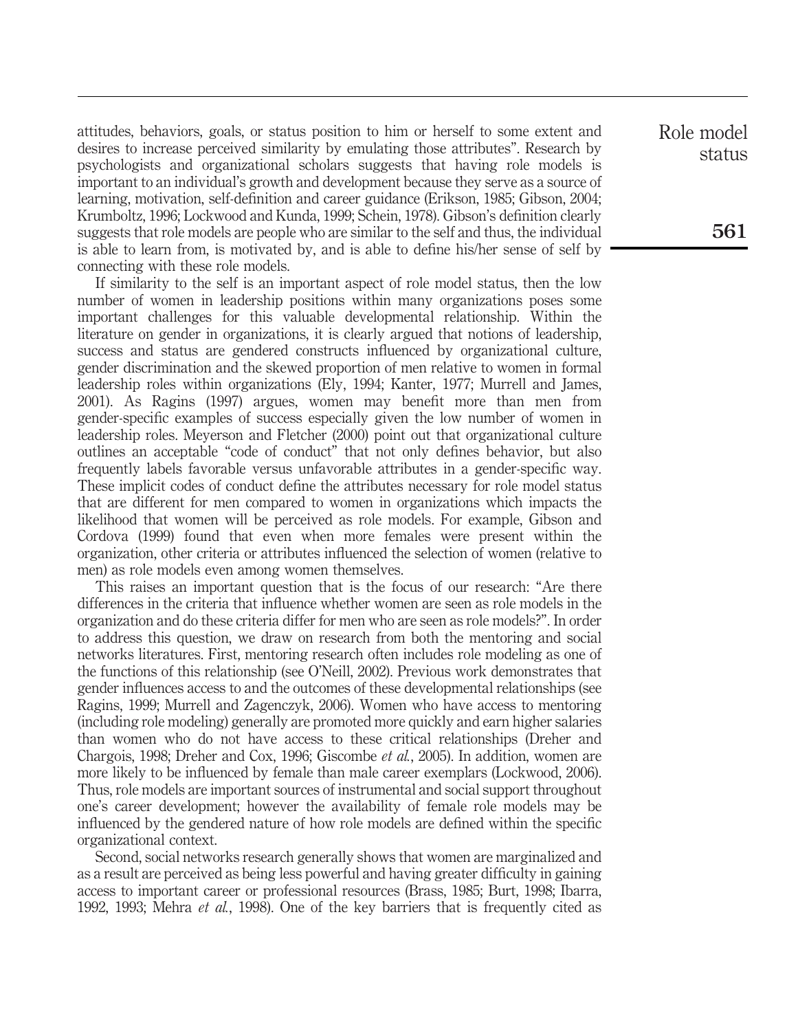attitudes, behaviors, goals, or status position to him or herself to some extent and desires to increase perceived similarity by emulating those attributes". Research by psychologists and organizational scholars suggests that having role models is important to an individual's growth and development because they serve as a source of learning, motivation, self-definition and career guidance (Erikson, 1985; Gibson, 2004; Krumboltz, 1996; Lockwood and Kunda, 1999; Schein, 1978). Gibson's definition clearly suggests that role models are people who are similar to the self and thus, the individual is able to learn from, is motivated by, and is able to define his/her sense of self by connecting with these role models.

If similarity to the self is an important aspect of role model status, then the low number of women in leadership positions within many organizations poses some important challenges for this valuable developmental relationship. Within the literature on gender in organizations, it is clearly argued that notions of leadership, success and status are gendered constructs influenced by organizational culture, gender discrimination and the skewed proportion of men relative to women in formal leadership roles within organizations (Ely, 1994; Kanter, 1977; Murrell and James, 2001). As Ragins (1997) argues, women may benefit more than men from gender-specific examples of success especially given the low number of women in leadership roles. Meyerson and Fletcher (2000) point out that organizational culture outlines an acceptable "code of conduct" that not only defines behavior, but also frequently labels favorable versus unfavorable attributes in a gender-specific way. These implicit codes of conduct define the attributes necessary for role model status that are different for men compared to women in organizations which impacts the likelihood that women will be perceived as role models. For example, Gibson and Cordova (1999) found that even when more females were present within the organization, other criteria or attributes influenced the selection of women (relative to men) as role models even among women themselves.

This raises an important question that is the focus of our research: "Are there differences in the criteria that influence whether women are seen as role models in the organization and do these criteria differ for men who are seen as role models?". In order to address this question, we draw on research from both the mentoring and social networks literatures. First, mentoring research often includes role modeling as one of the functions of this relationship (see O'Neill, 2002). Previous work demonstrates that gender influences access to and the outcomes of these developmental relationships (see Ragins, 1999; Murrell and Zagenczyk, 2006). Women who have access to mentoring (including role modeling) generally are promoted more quickly and earn higher salaries than women who do not have access to these critical relationships (Dreher and Chargois, 1998; Dreher and Cox, 1996; Giscombe et al., 2005). In addition, women are more likely to be influenced by female than male career exemplars (Lockwood, 2006). Thus, role models are important sources of instrumental and social support throughout one's career development; however the availability of female role models may be influenced by the gendered nature of how role models are defined within the specific organizational context.

Second, social networks research generally shows that women are marginalized and as a result are perceived as being less powerful and having greater difficulty in gaining access to important career or professional resources (Brass, 1985; Burt, 1998; Ibarra, 1992, 1993; Mehra et al., 1998). One of the key barriers that is frequently cited as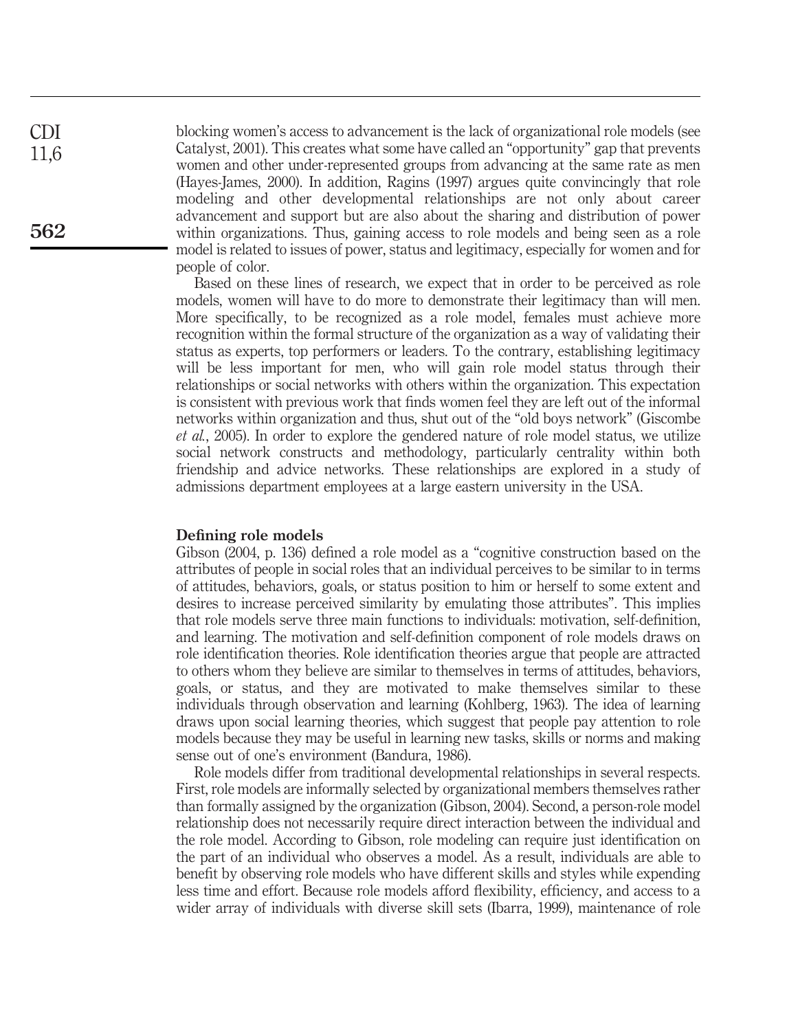blocking women's access to advancement is the lack of organizational role models (see Catalyst, 2001). This creates what some have called an "opportunity" gap that prevents women and other under-represented groups from advancing at the same rate as men (Hayes-James, 2000). In addition, Ragins (1997) argues quite convincingly that role modeling and other developmental relationships are not only about career advancement and support but are also about the sharing and distribution of power within organizations. Thus, gaining access to role models and being seen as a role model is related to issues of power, status and legitimacy, especially for women and for people of color.

Based on these lines of research, we expect that in order to be perceived as role models, women will have to do more to demonstrate their legitimacy than will men. More specifically, to be recognized as a role model, females must achieve more recognition within the formal structure of the organization as a way of validating their status as experts, top performers or leaders. To the contrary, establishing legitimacy will be less important for men, who will gain role model status through their relationships or social networks with others within the organization. This expectation is consistent with previous work that finds women feel they are left out of the informal networks within organization and thus, shut out of the "old boys network" (Giscombe et al., 2005). In order to explore the gendered nature of role model status, we utilize social network constructs and methodology, particularly centrality within both friendship and advice networks. These relationships are explored in a study of admissions department employees at a large eastern university in the USA.

#### Defining role models

Gibson (2004, p. 136) defined a role model as a "cognitive construction based on the attributes of people in social roles that an individual perceives to be similar to in terms of attitudes, behaviors, goals, or status position to him or herself to some extent and desires to increase perceived similarity by emulating those attributes". This implies that role models serve three main functions to individuals: motivation, self-definition, and learning. The motivation and self-definition component of role models draws on role identification theories. Role identification theories argue that people are attracted to others whom they believe are similar to themselves in terms of attitudes, behaviors, goals, or status, and they are motivated to make themselves similar to these individuals through observation and learning (Kohlberg, 1963). The idea of learning draws upon social learning theories, which suggest that people pay attention to role models because they may be useful in learning new tasks, skills or norms and making sense out of one's environment (Bandura, 1986).

Role models differ from traditional developmental relationships in several respects. First, role models are informally selected by organizational members themselves rather than formally assigned by the organization (Gibson, 2004). Second, a person-role model relationship does not necessarily require direct interaction between the individual and the role model. According to Gibson, role modeling can require just identification on the part of an individual who observes a model. As a result, individuals are able to benefit by observing role models who have different skills and styles while expending less time and effort. Because role models afford flexibility, efficiency, and access to a wider array of individuals with diverse skill sets (Ibarra, 1999), maintenance of role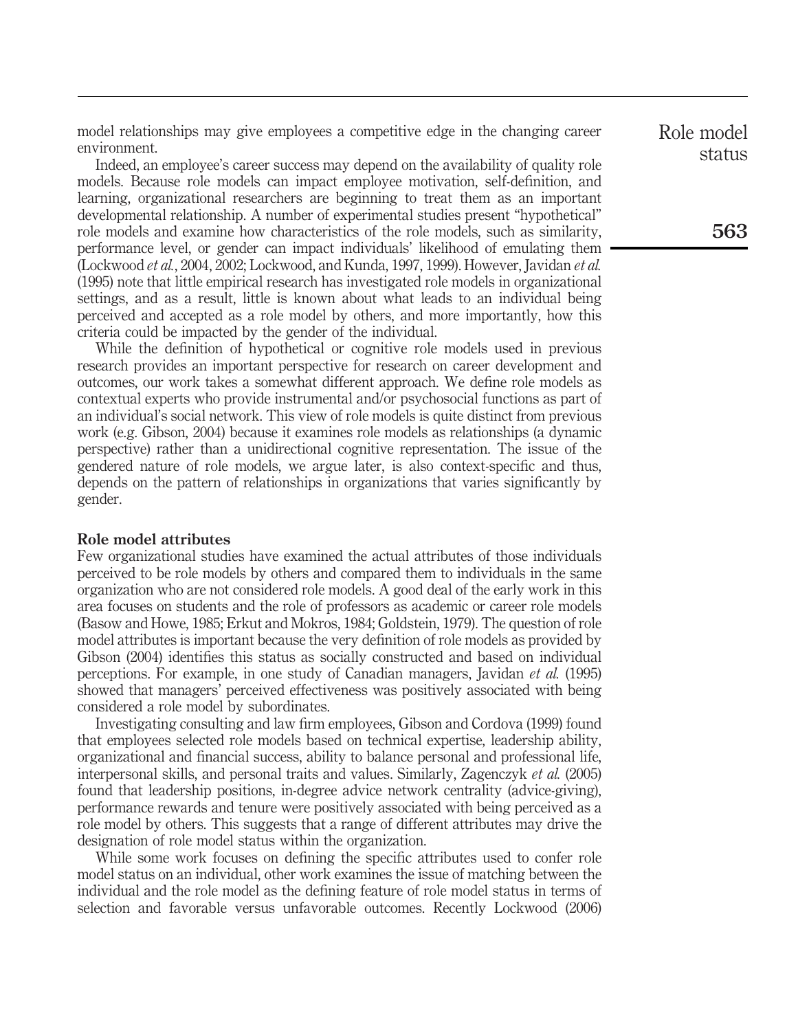model relationships may give employees a competitive edge in the changing career environment.

Indeed, an employee's career success may depend on the availability of quality role models. Because role models can impact employee motivation, self-definition, and learning, organizational researchers are beginning to treat them as an important developmental relationship. A number of experimental studies present "hypothetical" role models and examine how characteristics of the role models, such as similarity, performance level, or gender can impact individuals' likelihood of emulating them (Lockwood et al., 2004, 2002; Lockwood, and Kunda, 1997, 1999). However, Javidan et al. (1995) note that little empirical research has investigated role models in organizational settings, and as a result, little is known about what leads to an individual being perceived and accepted as a role model by others, and more importantly, how this criteria could be impacted by the gender of the individual.

While the definition of hypothetical or cognitive role models used in previous research provides an important perspective for research on career development and outcomes, our work takes a somewhat different approach. We define role models as contextual experts who provide instrumental and/or psychosocial functions as part of an individual's social network. This view of role models is quite distinct from previous work (e.g. Gibson, 2004) because it examines role models as relationships (a dynamic perspective) rather than a unidirectional cognitive representation. The issue of the gendered nature of role models, we argue later, is also context-specific and thus, depends on the pattern of relationships in organizations that varies significantly by gender.

## Role model attributes

Few organizational studies have examined the actual attributes of those individuals perceived to be role models by others and compared them to individuals in the same organization who are not considered role models. A good deal of the early work in this area focuses on students and the role of professors as academic or career role models (Basow and Howe, 1985; Erkut and Mokros, 1984; Goldstein, 1979). The question of role model attributes is important because the very definition of role models as provided by Gibson (2004) identifies this status as socially constructed and based on individual perceptions. For example, in one study of Canadian managers, Javidan et al. (1995) showed that managers' perceived effectiveness was positively associated with being considered a role model by subordinates.

Investigating consulting and law firm employees, Gibson and Cordova (1999) found that employees selected role models based on technical expertise, leadership ability, organizational and financial success, ability to balance personal and professional life, interpersonal skills, and personal traits and values. Similarly, Zagenczyk et al. (2005) found that leadership positions, in-degree advice network centrality (advice-giving), performance rewards and tenure were positively associated with being perceived as a role model by others. This suggests that a range of different attributes may drive the designation of role model status within the organization.

While some work focuses on defining the specific attributes used to confer role model status on an individual, other work examines the issue of matching between the individual and the role model as the defining feature of role model status in terms of selection and favorable versus unfavorable outcomes. Recently Lockwood (2006) Role model status

563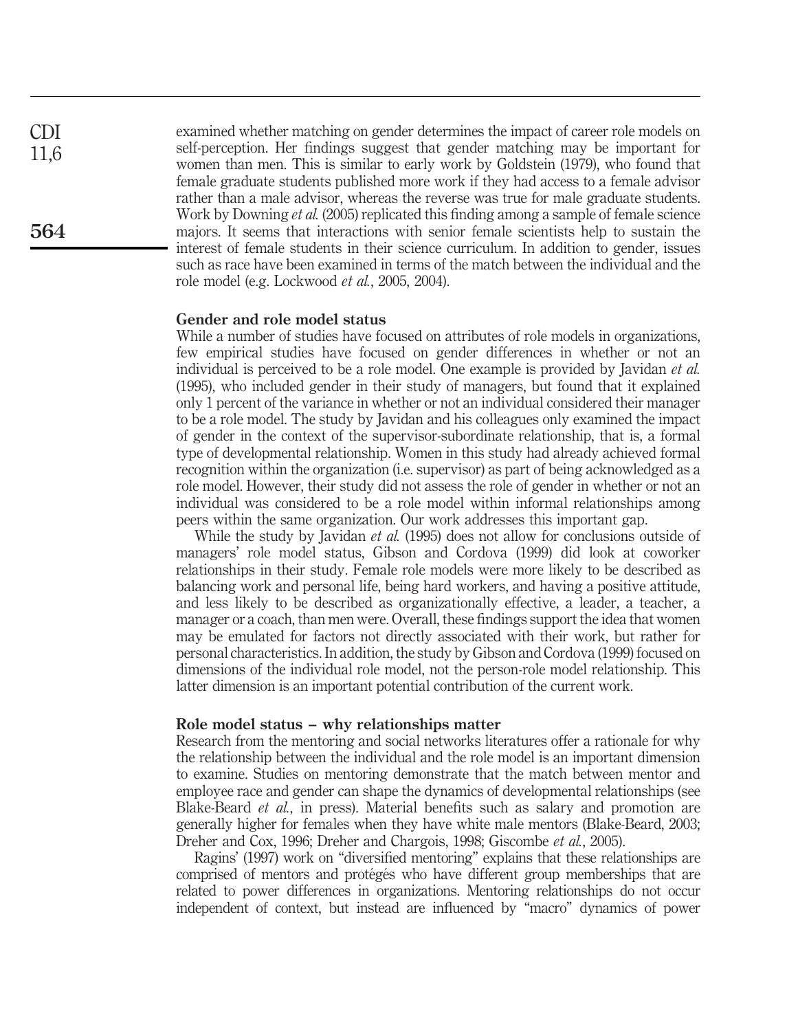examined whether matching on gender determines the impact of career role models on self-perception. Her findings suggest that gender matching may be important for women than men. This is similar to early work by Goldstein (1979), who found that female graduate students published more work if they had access to a female advisor rather than a male advisor, whereas the reverse was true for male graduate students. Work by Downing *et al.* (2005) replicated this finding among a sample of female science majors. It seems that interactions with senior female scientists help to sustain the interest of female students in their science curriculum. In addition to gender, issues such as race have been examined in terms of the match between the individual and the role model (e.g. Lockwood et al., 2005, 2004).

## Gender and role model status

CDI 11,6

564

While a number of studies have focused on attributes of role models in organizations, few empirical studies have focused on gender differences in whether or not an individual is perceived to be a role model. One example is provided by Javidan et al. (1995), who included gender in their study of managers, but found that it explained only 1 percent of the variance in whether or not an individual considered their manager to be a role model. The study by Javidan and his colleagues only examined the impact of gender in the context of the supervisor-subordinate relationship, that is, a formal type of developmental relationship. Women in this study had already achieved formal recognition within the organization (i.e. supervisor) as part of being acknowledged as a role model. However, their study did not assess the role of gender in whether or not an individual was considered to be a role model within informal relationships among peers within the same organization. Our work addresses this important gap.

While the study by Javidan *et al.* (1995) does not allow for conclusions outside of managers' role model status, Gibson and Cordova (1999) did look at coworker relationships in their study. Female role models were more likely to be described as balancing work and personal life, being hard workers, and having a positive attitude, and less likely to be described as organizationally effective, a leader, a teacher, a manager or a coach, than men were. Overall, these findings support the idea that women may be emulated for factors not directly associated with their work, but rather for personal characteristics. In addition, the study by Gibson and Cordova (1999) focused on dimensions of the individual role model, not the person-role model relationship. This latter dimension is an important potential contribution of the current work.

#### Role model status – why relationships matter

Research from the mentoring and social networks literatures offer a rationale for why the relationship between the individual and the role model is an important dimension to examine. Studies on mentoring demonstrate that the match between mentor and employee race and gender can shape the dynamics of developmental relationships (see Blake-Beard et al., in press). Material benefits such as salary and promotion are generally higher for females when they have white male mentors (Blake-Beard, 2003; Dreher and Cox, 1996; Dreher and Chargois, 1998; Giscombe et al., 2005).

Ragins' (1997) work on "diversified mentoring" explains that these relationships are comprised of mentors and protégés who have different group memberships that are related to power differences in organizations. Mentoring relationships do not occur independent of context, but instead are influenced by "macro" dynamics of power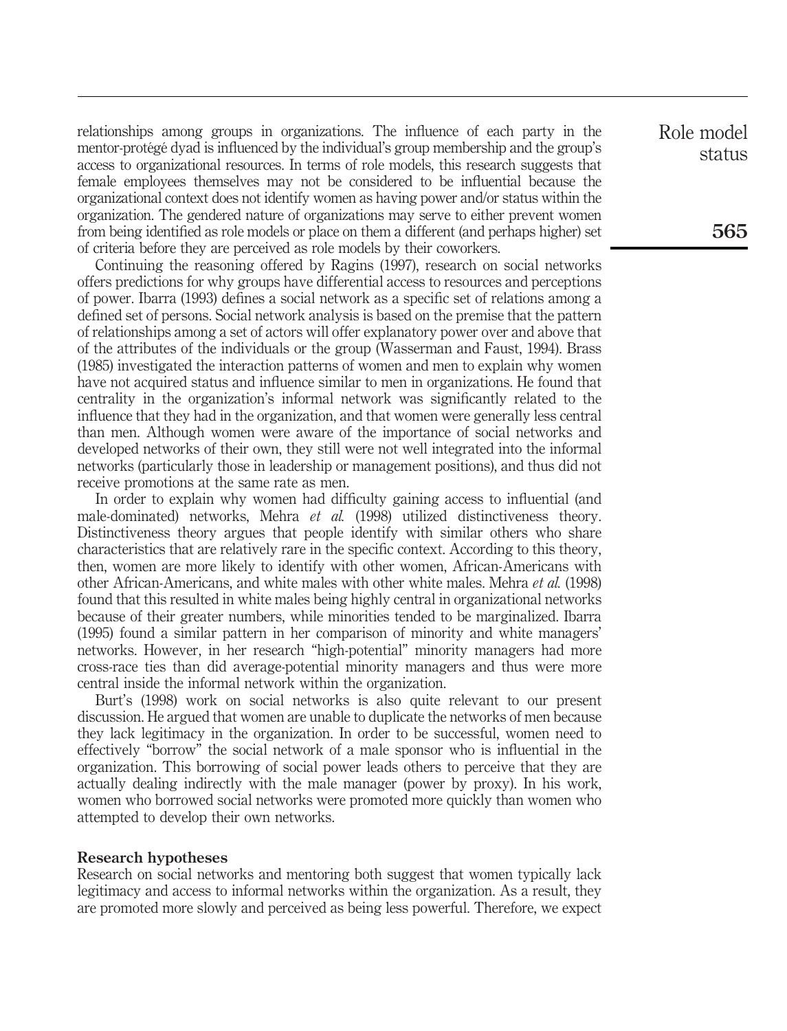relationships among groups in organizations. The influence of each party in the mentor-protégé dyad is influenced by the individual's group membership and the group's access to organizational resources. In terms of role models, this research suggests that female employees themselves may not be considered to be influential because the organizational context does not identify women as having power and/or status within the organization. The gendered nature of organizations may serve to either prevent women from being identified as role models or place on them a different (and perhaps higher) set of criteria before they are perceived as role models by their coworkers.

Continuing the reasoning offered by Ragins (1997), research on social networks offers predictions for why groups have differential access to resources and perceptions of power. Ibarra (1993) defines a social network as a specific set of relations among a defined set of persons. Social network analysis is based on the premise that the pattern of relationships among a set of actors will offer explanatory power over and above that of the attributes of the individuals or the group (Wasserman and Faust, 1994). Brass (1985) investigated the interaction patterns of women and men to explain why women have not acquired status and influence similar to men in organizations. He found that centrality in the organization's informal network was significantly related to the influence that they had in the organization, and that women were generally less central than men. Although women were aware of the importance of social networks and developed networks of their own, they still were not well integrated into the informal networks (particularly those in leadership or management positions), and thus did not receive promotions at the same rate as men.

In order to explain why women had difficulty gaining access to influential (and male-dominated) networks, Mehra et al. (1998) utilized distinctiveness theory. Distinctiveness theory argues that people identify with similar others who share characteristics that are relatively rare in the specific context. According to this theory, then, women are more likely to identify with other women, African-Americans with other African-Americans, and white males with other white males. Mehra et al. (1998) found that this resulted in white males being highly central in organizational networks because of their greater numbers, while minorities tended to be marginalized. Ibarra (1995) found a similar pattern in her comparison of minority and white managers' networks. However, in her research "high-potential" minority managers had more cross-race ties than did average-potential minority managers and thus were more central inside the informal network within the organization.

Burt's (1998) work on social networks is also quite relevant to our present discussion. He argued that women are unable to duplicate the networks of men because they lack legitimacy in the organization. In order to be successful, women need to effectively "borrow" the social network of a male sponsor who is influential in the organization. This borrowing of social power leads others to perceive that they are actually dealing indirectly with the male manager (power by proxy). In his work, women who borrowed social networks were promoted more quickly than women who attempted to develop their own networks.

#### Research hypotheses

Research on social networks and mentoring both suggest that women typically lack legitimacy and access to informal networks within the organization. As a result, they are promoted more slowly and perceived as being less powerful. Therefore, we expect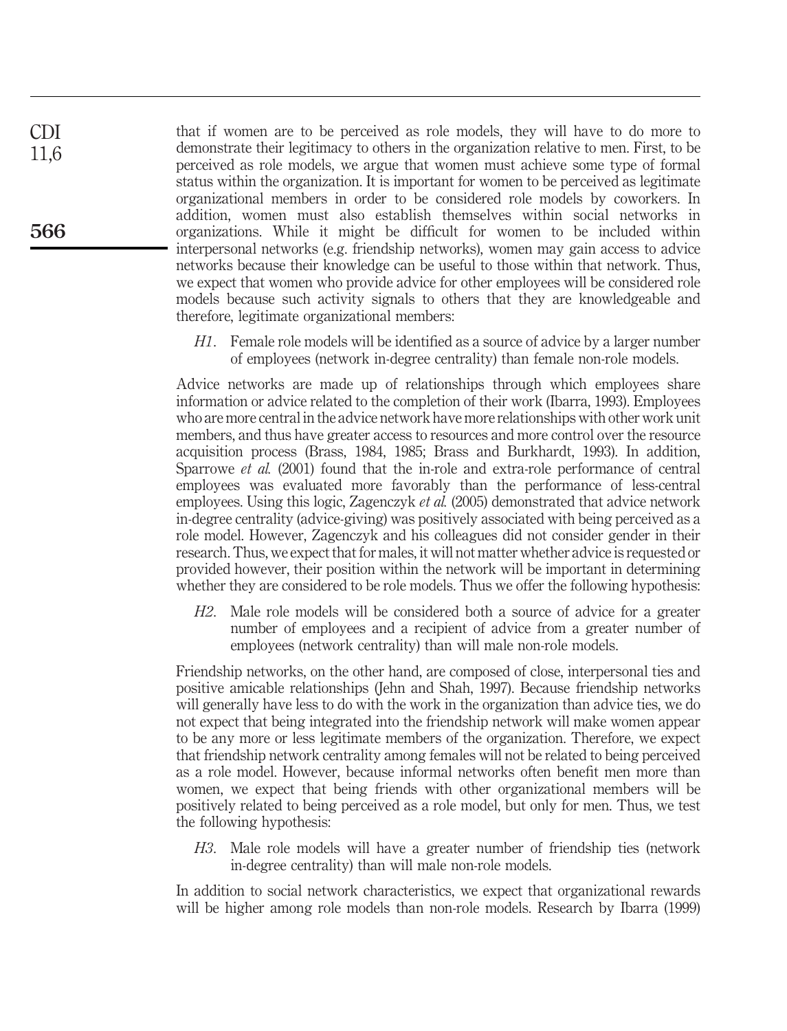that if women are to be perceived as role models, they will have to do more to demonstrate their legitimacy to others in the organization relative to men. First, to be perceived as role models, we argue that women must achieve some type of formal status within the organization. It is important for women to be perceived as legitimate organizational members in order to be considered role models by coworkers. In addition, women must also establish themselves within social networks in organizations. While it might be difficult for women to be included within interpersonal networks (e.g. friendship networks), women may gain access to advice networks because their knowledge can be useful to those within that network. Thus, we expect that women who provide advice for other employees will be considered role models because such activity signals to others that they are knowledgeable and therefore, legitimate organizational members:

H1. Female role models will be identified as a source of advice by a larger number of employees (network in-degree centrality) than female non-role models.

Advice networks are made up of relationships through which employees share information or advice related to the completion of their work (Ibarra, 1993). Employees who are more central in the advice network have more relationships with other work unit members, and thus have greater access to resources and more control over the resource acquisition process (Brass, 1984, 1985; Brass and Burkhardt, 1993). In addition, Sparrowe *et al.* (2001) found that the in-role and extra-role performance of central employees was evaluated more favorably than the performance of less-central employees. Using this logic, Zagenczyk *et al.* (2005) demonstrated that advice network in-degree centrality (advice-giving) was positively associated with being perceived as a role model. However, Zagenczyk and his colleagues did not consider gender in their research. Thus, we expect that for males, it will not matter whether advice is requested or provided however, their position within the network will be important in determining whether they are considered to be role models. Thus we offer the following hypothesis:

H2. Male role models will be considered both a source of advice for a greater number of employees and a recipient of advice from a greater number of employees (network centrality) than will male non-role models.

Friendship networks, on the other hand, are composed of close, interpersonal ties and positive amicable relationships (Jehn and Shah, 1997). Because friendship networks will generally have less to do with the work in the organization than advice ties, we do not expect that being integrated into the friendship network will make women appear to be any more or less legitimate members of the organization. Therefore, we expect that friendship network centrality among females will not be related to being perceived as a role model. However, because informal networks often benefit men more than women, we expect that being friends with other organizational members will be positively related to being perceived as a role model, but only for men. Thus, we test the following hypothesis:

H3. Male role models will have a greater number of friendship ties (network in-degree centrality) than will male non-role models.

In addition to social network characteristics, we expect that organizational rewards will be higher among role models than non-role models. Research by Ibarra (1999)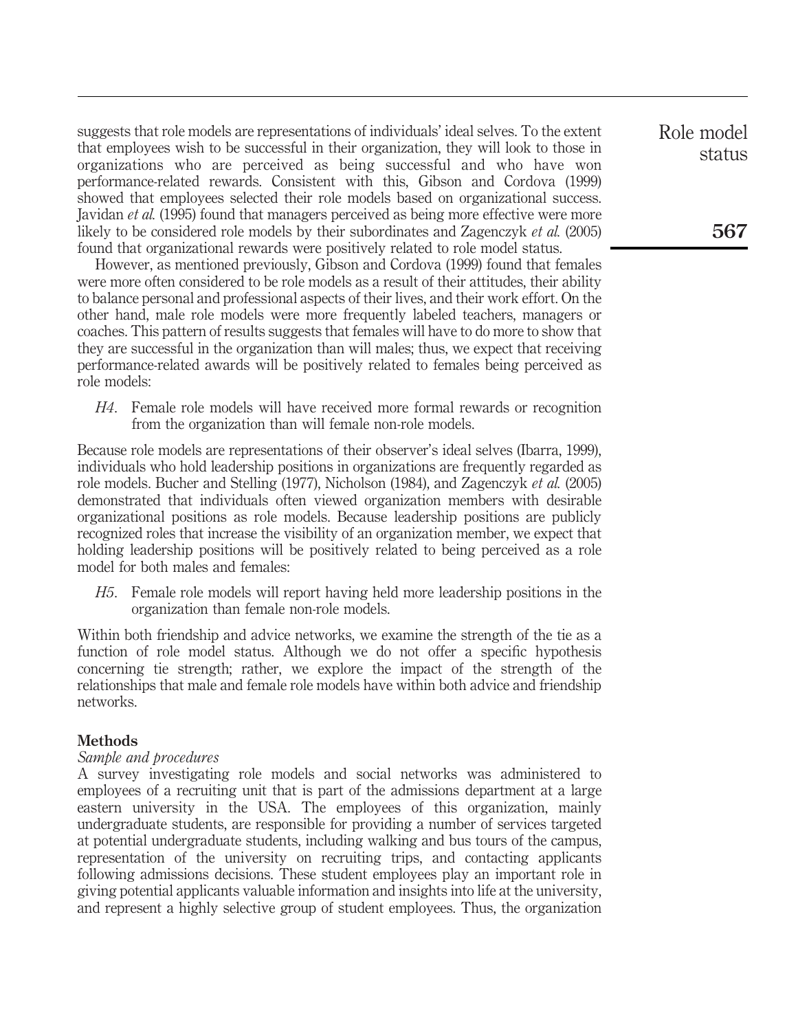suggests that role models are representations of individuals' ideal selves. To the extent that employees wish to be successful in their organization, they will look to those in organizations who are perceived as being successful and who have won performance-related rewards. Consistent with this, Gibson and Cordova (1999) showed that employees selected their role models based on organizational success. Javidan *et al.* (1995) found that managers perceived as being more effective were more likely to be considered role models by their subordinates and Zagenczyk et al. (2005) found that organizational rewards were positively related to role model status.

However, as mentioned previously, Gibson and Cordova (1999) found that females were more often considered to be role models as a result of their attitudes, their ability to balance personal and professional aspects of their lives, and their work effort. On the other hand, male role models were more frequently labeled teachers, managers or coaches. This pattern of results suggests that females will have to do more to show that they are successful in the organization than will males; thus, we expect that receiving performance-related awards will be positively related to females being perceived as role models:

H4. Female role models will have received more formal rewards or recognition from the organization than will female non-role models.

Because role models are representations of their observer's ideal selves (Ibarra, 1999), individuals who hold leadership positions in organizations are frequently regarded as role models. Bucher and Stelling (1977), Nicholson (1984), and Zagenczyk et al. (2005) demonstrated that individuals often viewed organization members with desirable organizational positions as role models. Because leadership positions are publicly recognized roles that increase the visibility of an organization member, we expect that holding leadership positions will be positively related to being perceived as a role model for both males and females:

H5. Female role models will report having held more leadership positions in the organization than female non-role models.

Within both friendship and advice networks, we examine the strength of the tie as a function of role model status. Although we do not offer a specific hypothesis concerning tie strength; rather, we explore the impact of the strength of the relationships that male and female role models have within both advice and friendship networks.

#### Methods

#### Sample and procedures

A survey investigating role models and social networks was administered to employees of a recruiting unit that is part of the admissions department at a large eastern university in the USA. The employees of this organization, mainly undergraduate students, are responsible for providing a number of services targeted at potential undergraduate students, including walking and bus tours of the campus, representation of the university on recruiting trips, and contacting applicants following admissions decisions. These student employees play an important role in giving potential applicants valuable information and insights into life at the university, and represent a highly selective group of student employees. Thus, the organization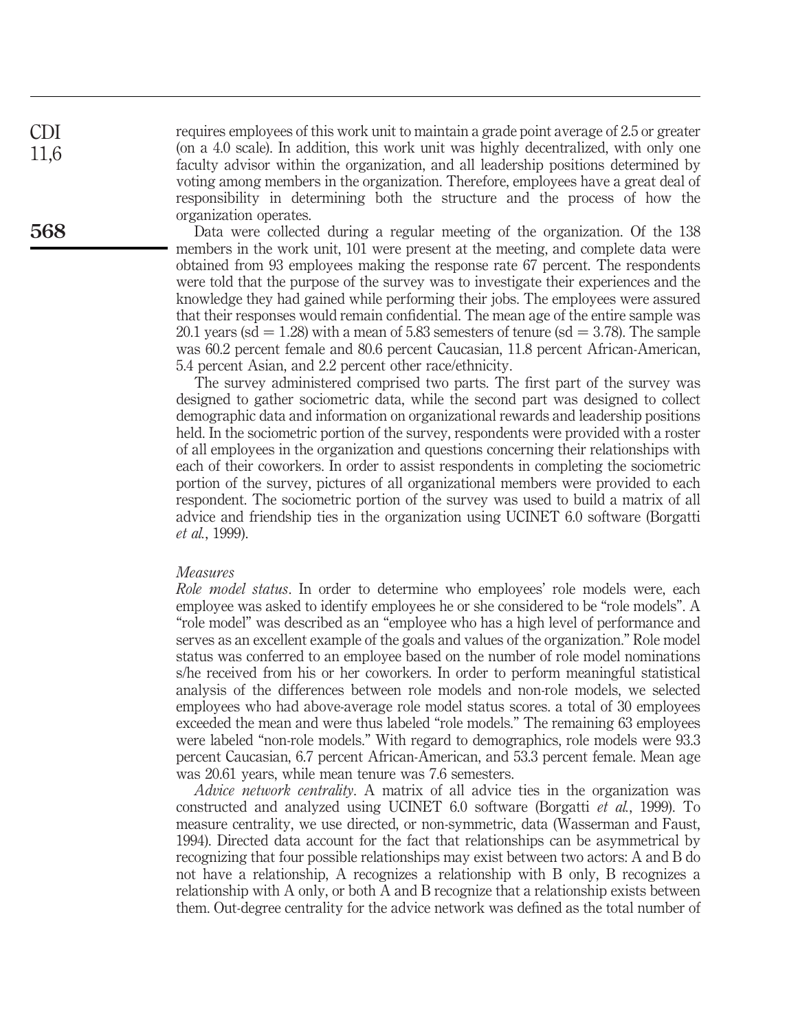requires employees of this work unit to maintain a grade point average of 2.5 or greater (on a 4.0 scale). In addition, this work unit was highly decentralized, with only one faculty advisor within the organization, and all leadership positions determined by voting among members in the organization. Therefore, employees have a great deal of responsibility in determining both the structure and the process of how the organization operates.

Data were collected during a regular meeting of the organization. Of the 138 members in the work unit, 101 were present at the meeting, and complete data were obtained from 93 employees making the response rate 67 percent. The respondents were told that the purpose of the survey was to investigate their experiences and the knowledge they had gained while performing their jobs. The employees were assured that their responses would remain confidential. The mean age of the entire sample was 20.1 years (sd  $= 1.28$ ) with a mean of 5.83 semesters of tenure (sd  $= 3.78$ ). The sample was 60.2 percent female and 80.6 percent Caucasian, 11.8 percent African-American, 5.4 percent Asian, and 2.2 percent other race/ethnicity.

The survey administered comprised two parts. The first part of the survey was designed to gather sociometric data, while the second part was designed to collect demographic data and information on organizational rewards and leadership positions held. In the sociometric portion of the survey, respondents were provided with a roster of all employees in the organization and questions concerning their relationships with each of their coworkers. In order to assist respondents in completing the sociometric portion of the survey, pictures of all organizational members were provided to each respondent. The sociometric portion of the survey was used to build a matrix of all advice and friendship ties in the organization using UCINET 6.0 software (Borgatti et al., 1999).

#### Measures

Role model status. In order to determine who employees' role models were, each employee was asked to identify employees he or she considered to be "role models". A "role model" was described as an "employee who has a high level of performance and serves as an excellent example of the goals and values of the organization." Role model status was conferred to an employee based on the number of role model nominations s/he received from his or her coworkers. In order to perform meaningful statistical analysis of the differences between role models and non-role models, we selected employees who had above-average role model status scores. a total of 30 employees exceeded the mean and were thus labeled "role models." The remaining 63 employees were labeled "non-role models." With regard to demographics, role models were 93.3 percent Caucasian, 6.7 percent African-American, and 53.3 percent female. Mean age was 20.61 years, while mean tenure was 7.6 semesters.

Advice network centrality. A matrix of all advice ties in the organization was constructed and analyzed using UCINET 6.0 software (Borgatti et al., 1999). To measure centrality, we use directed, or non-symmetric, data (Wasserman and Faust, 1994). Directed data account for the fact that relationships can be asymmetrical by recognizing that four possible relationships may exist between two actors: A and B do not have a relationship, A recognizes a relationship with B only, B recognizes a relationship with A only, or both A and B recognize that a relationship exists between them. Out-degree centrality for the advice network was defined as the total number of

568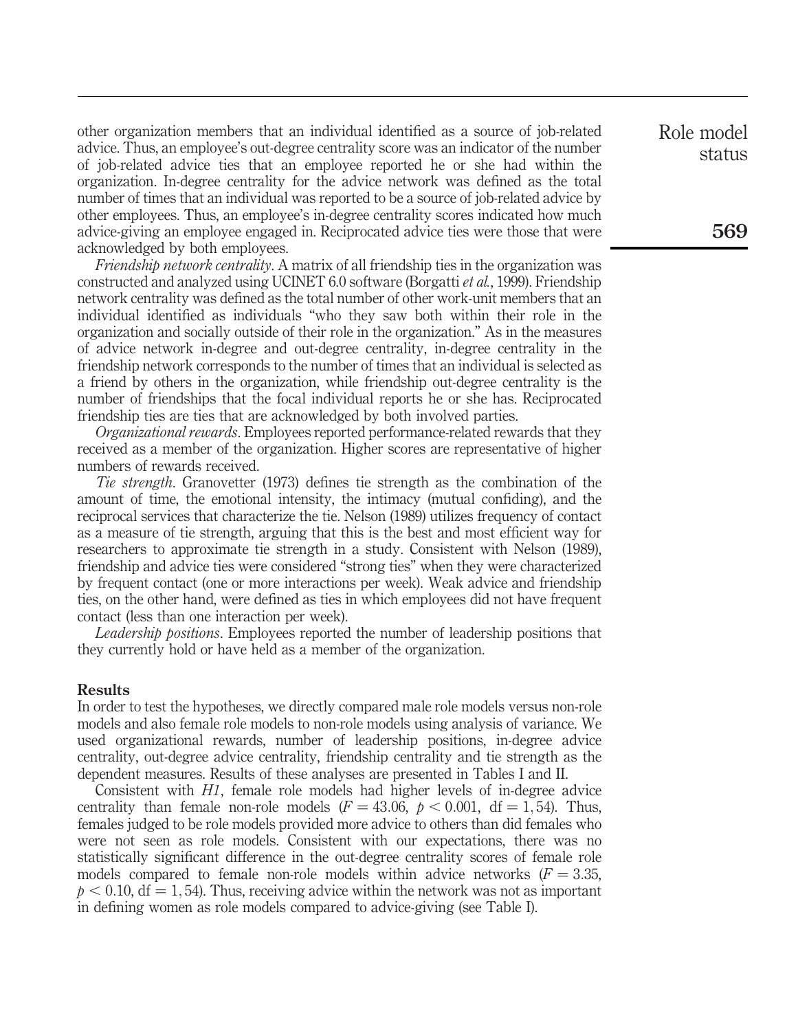other organization members that an individual identified as a source of job-related advice. Thus, an employee's out-degree centrality score was an indicator of the number of job-related advice ties that an employee reported he or she had within the organization. In-degree centrality for the advice network was defined as the total number of times that an individual was reported to be a source of job-related advice by other employees. Thus, an employee's in-degree centrality scores indicated how much advice-giving an employee engaged in. Reciprocated advice ties were those that were acknowledged by both employees.

Friendship network centrality. A matrix of all friendship ties in the organization was constructed and analyzed using UCINET 6.0 software (Borgatti et al., 1999). Friendship network centrality was defined as the total number of other work-unit members that an individual identified as individuals "who they saw both within their role in the organization and socially outside of their role in the organization." As in the measures of advice network in-degree and out-degree centrality, in-degree centrality in the friendship network corresponds to the number of times that an individual is selected as a friend by others in the organization, while friendship out-degree centrality is the number of friendships that the focal individual reports he or she has. Reciprocated friendship ties are ties that are acknowledged by both involved parties.

Organizational rewards. Employees reported performance-related rewards that they received as a member of the organization. Higher scores are representative of higher numbers of rewards received.

Tie strength. Granovetter (1973) defines tie strength as the combination of the amount of time, the emotional intensity, the intimacy (mutual confiding), and the reciprocal services that characterize the tie. Nelson (1989) utilizes frequency of contact as a measure of tie strength, arguing that this is the best and most efficient way for researchers to approximate tie strength in a study. Consistent with Nelson (1989), friendship and advice ties were considered "strong ties" when they were characterized by frequent contact (one or more interactions per week). Weak advice and friendship ties, on the other hand, were defined as ties in which employees did not have frequent contact (less than one interaction per week).

Leadership positions. Employees reported the number of leadership positions that they currently hold or have held as a member of the organization.

#### Results

In order to test the hypotheses, we directly compared male role models versus non-role models and also female role models to non-role models using analysis of variance. We used organizational rewards, number of leadership positions, in-degree advice centrality, out-degree advice centrality, friendship centrality and tie strength as the dependent measures. Results of these analyses are presented in Tables I and II.

Consistent with H1, female role models had higher levels of in-degree advice centrality than female non-role models  $(F = 43.06, p < 0.001, df = 1, 54)$ . Thus, females judged to be role models provided more advice to others than did females who were not seen as role models. Consistent with our expectations, there was no statistically significant difference in the out-degree centrality scores of female role models compared to female non-role models within advice networks  $(F = 3.35,$  $p < 0.10$ , df  $= 1, 54$ ). Thus, receiving advice within the network was not as important in defining women as role models compared to advice-giving (see Table I).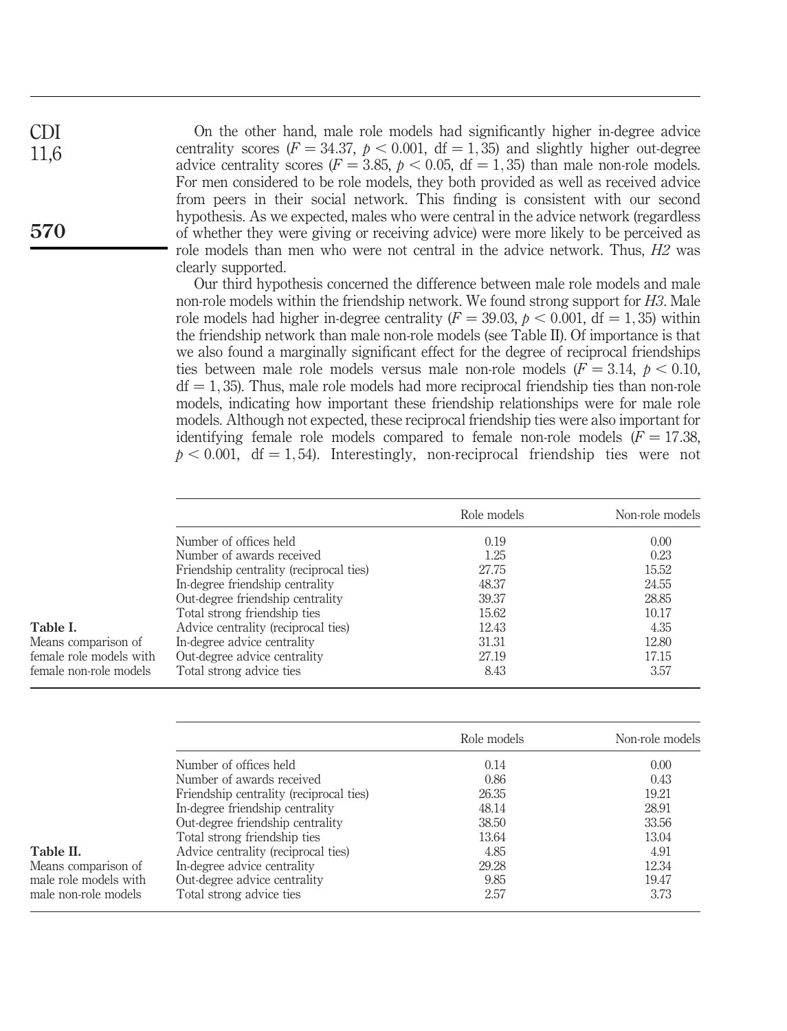On the other hand, male role models had significantly higher in-degree advice centrality scores ( $F = 34.37$ ,  $p < 0.001$ , df = 1,35) and slightly higher out-degree advice centrality scores ( $F = 3.85$ ,  $p < 0.05$ , df = 1,35) than male non-role models. For men considered to be role models, they both provided as well as received advice from peers in their social network. This finding is consistent with our second hypothesis. As we expected, males who were central in the advice network (regardless of whether they were giving or receiving advice) were more likely to be perceived as role models than men who were not central in the advice network. Thus, H2 was clearly supported. Our third hypothesis concerned the difference between male role models and male CDI 11,6 570

non-role models within the friendship network. We found strong support for H3. Male role models had higher in-degree centrality ( $F = 39.03$ ,  $p < 0.001$ , df = 1,35) within the friendship network than male non-role models (see Table II). Of importance is that we also found a marginally significant effect for the degree of reciprocal friendships ties between male role models versus male non-role models  $(F = 3.14, p < 0.10,$  $df = 1,35$ ). Thus, male role models had more reciprocal friendship ties than non-role models, indicating how important these friendship relationships were for male role models. Although not expected, these reciprocal friendship ties were also important for identifying female role models compared to female non-role models  $(F = 17.38$ ,  $p < 0.001$ , df = 1,54). Interestingly, non-reciprocal friendship ties were not

|                                         | Role models | Non-role models |
|-----------------------------------------|-------------|-----------------|
| Number of offices held                  | 0.19        | 0.00            |
| Number of awards received               | 1.25        | 0.23            |
| Friendship centrality (reciprocal ties) | 27.75       | 15.52           |
| In-degree friendship centrality         | 48.37       | 24.55           |
| Out-degree friendship centrality        | 39.37       | 28.85           |
| Total strong friendship ties            | 15.62       | 10.17           |
| Advice centrality (reciprocal ties)     | 12.43       | 4.35            |
| In-degree advice centrality             | 31.31       | 12.80           |
| Out-degree advice centrality            | 27.19       | 17.15           |
| Total strong advice ties                | 8.43        | 3.57            |

Table I. Means comparison of female role models with female non-role models

|                       |                                         | Role models | Non-role models |
|-----------------------|-----------------------------------------|-------------|-----------------|
|                       | Number of offices held                  | 0.14        | 0.00            |
|                       | Number of awards received               | 0.86        | 0.43            |
|                       | Friendship centrality (reciprocal ties) | 26.35       | 19.21           |
|                       | In-degree friendship centrality         | 48.14       | 28.91           |
|                       | Out-degree friendship centrality        | 38.50       | 33.56           |
|                       | Total strong friendship ties            | 13.64       | 13.04           |
| Table II.             | Advice centrality (reciprocal ties)     | 4.85        | 4.91            |
| Means comparison of   | In-degree advice centrality             | 29.28       | 12.34           |
| male role models with | Out-degree advice centrality            | 9.85        | 19.47           |
| male non-role models  | Total strong advice ties                | 2.57        | 3.73            |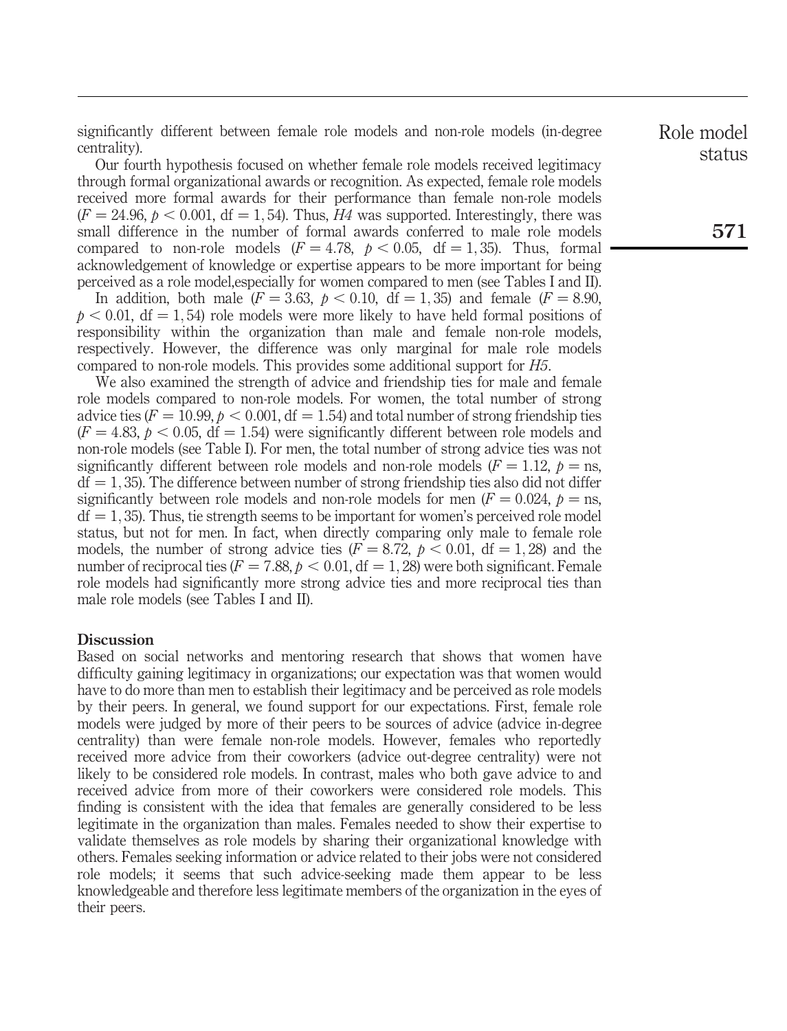significantly different between female role models and non-role models (in-degree centrality).

Our fourth hypothesis focused on whether female role models received legitimacy through formal organizational awards or recognition. As expected, female role models received more formal awards for their performance than female non-role models  $(F = 24.96, p < 0.001, df = 1, 54)$ . Thus, H4 was supported. Interestingly, there was small difference in the number of formal awards conferred to male role models compared to non-role models  $(F = 4.78, p < 0.05, df = 1, 35)$ . Thus, formal acknowledgement of knowledge or expertise appears to be more important for being perceived as a role model,especially for women compared to men (see Tables I and II).

In addition, both male  $(F = 3.63, p < 0.10, df = 1,35)$  and female  $(F = 8.90,$  $p < 0.01$ , df = 1,54) role models were more likely to have held formal positions of responsibility within the organization than male and female non-role models, respectively. However, the difference was only marginal for male role models compared to non-role models. This provides some additional support for H5.

We also examined the strength of advice and friendship ties for male and female role models compared to non-role models. For women, the total number of strong advice ties ( $F = 10.99$ ,  $p < 0.001$ , df  $= 1.54$ ) and total number of strong friendship ties  $(F = 4.83, p < 0.05, df = 1.54)$  were significantly different between role models and non-role models (see Table I). For men, the total number of strong advice ties was not significantly different between role models and non-role models ( $F = 1.12$ ,  $p = \text{ns}$ ,  $df = 1,35$ ). The difference between number of strong friendship ties also did not differ significantly between role models and non-role models for men ( $F = 0.024$ ,  $p = \text{ns}$ ,  $df = 1,35$ ). Thus, tie strength seems to be important for women's perceived role model status, but not for men. In fact, when directly comparing only male to female role models, the number of strong advice ties  $(F = 8.72, p < 0.01, df = 1, 28)$  and the number of reciprocal ties ( $F = 7.88$ ,  $p < 0.01$ , df = 1, 28) were both significant. Female role models had significantly more strong advice ties and more reciprocal ties than male role models (see Tables I and II).

#### **Discussion**

Based on social networks and mentoring research that shows that women have difficulty gaining legitimacy in organizations; our expectation was that women would have to do more than men to establish their legitimacy and be perceived as role models by their peers. In general, we found support for our expectations. First, female role models were judged by more of their peers to be sources of advice (advice in-degree centrality) than were female non-role models. However, females who reportedly received more advice from their coworkers (advice out-degree centrality) were not likely to be considered role models. In contrast, males who both gave advice to and received advice from more of their coworkers were considered role models. This finding is consistent with the idea that females are generally considered to be less legitimate in the organization than males. Females needed to show their expertise to validate themselves as role models by sharing their organizational knowledge with others. Females seeking information or advice related to their jobs were not considered role models; it seems that such advice-seeking made them appear to be less knowledgeable and therefore less legitimate members of the organization in the eyes of their peers.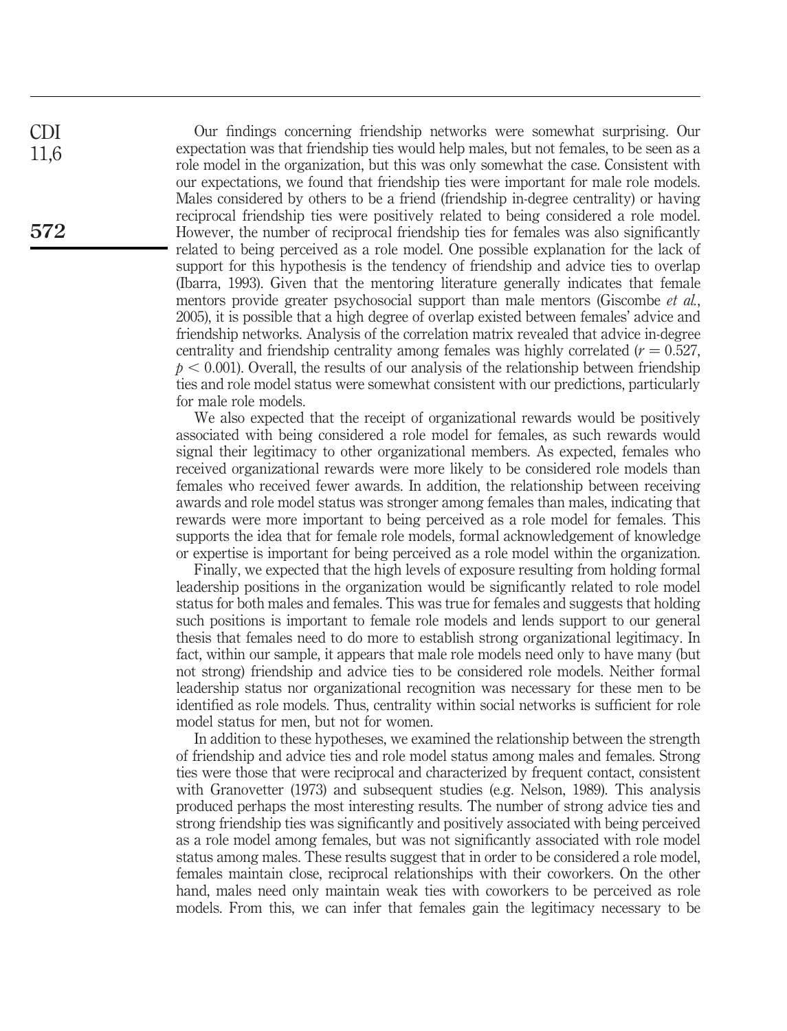Our findings concerning friendship networks were somewhat surprising. Our expectation was that friendship ties would help males, but not females, to be seen as a role model in the organization, but this was only somewhat the case. Consistent with our expectations, we found that friendship ties were important for male role models. Males considered by others to be a friend (friendship in-degree centrality) or having reciprocal friendship ties were positively related to being considered a role model. However, the number of reciprocal friendship ties for females was also significantly related to being perceived as a role model. One possible explanation for the lack of support for this hypothesis is the tendency of friendship and advice ties to overlap (Ibarra, 1993). Given that the mentoring literature generally indicates that female mentors provide greater psychosocial support than male mentors (Giscombe *et al.*, 2005), it is possible that a high degree of overlap existed between females' advice and friendship networks. Analysis of the correlation matrix revealed that advice in-degree centrality and friendship centrality among females was highly correlated  $(r = 0.527,$  $p < 0.001$ ). Overall, the results of our analysis of the relationship between friendship ties and role model status were somewhat consistent with our predictions, particularly for male role models.

We also expected that the receipt of organizational rewards would be positively associated with being considered a role model for females, as such rewards would signal their legitimacy to other organizational members. As expected, females who received organizational rewards were more likely to be considered role models than females who received fewer awards. In addition, the relationship between receiving awards and role model status was stronger among females than males, indicating that rewards were more important to being perceived as a role model for females. This supports the idea that for female role models, formal acknowledgement of knowledge or expertise is important for being perceived as a role model within the organization.

Finally, we expected that the high levels of exposure resulting from holding formal leadership positions in the organization would be significantly related to role model status for both males and females. This was true for females and suggests that holding such positions is important to female role models and lends support to our general thesis that females need to do more to establish strong organizational legitimacy. In fact, within our sample, it appears that male role models need only to have many (but not strong) friendship and advice ties to be considered role models. Neither formal leadership status nor organizational recognition was necessary for these men to be identified as role models. Thus, centrality within social networks is sufficient for role model status for men, but not for women.

In addition to these hypotheses, we examined the relationship between the strength of friendship and advice ties and role model status among males and females. Strong ties were those that were reciprocal and characterized by frequent contact, consistent with Granovetter (1973) and subsequent studies (e.g. Nelson, 1989). This analysis produced perhaps the most interesting results. The number of strong advice ties and strong friendship ties was significantly and positively associated with being perceived as a role model among females, but was not significantly associated with role model status among males. These results suggest that in order to be considered a role model, females maintain close, reciprocal relationships with their coworkers. On the other hand, males need only maintain weak ties with coworkers to be perceived as role models. From this, we can infer that females gain the legitimacy necessary to be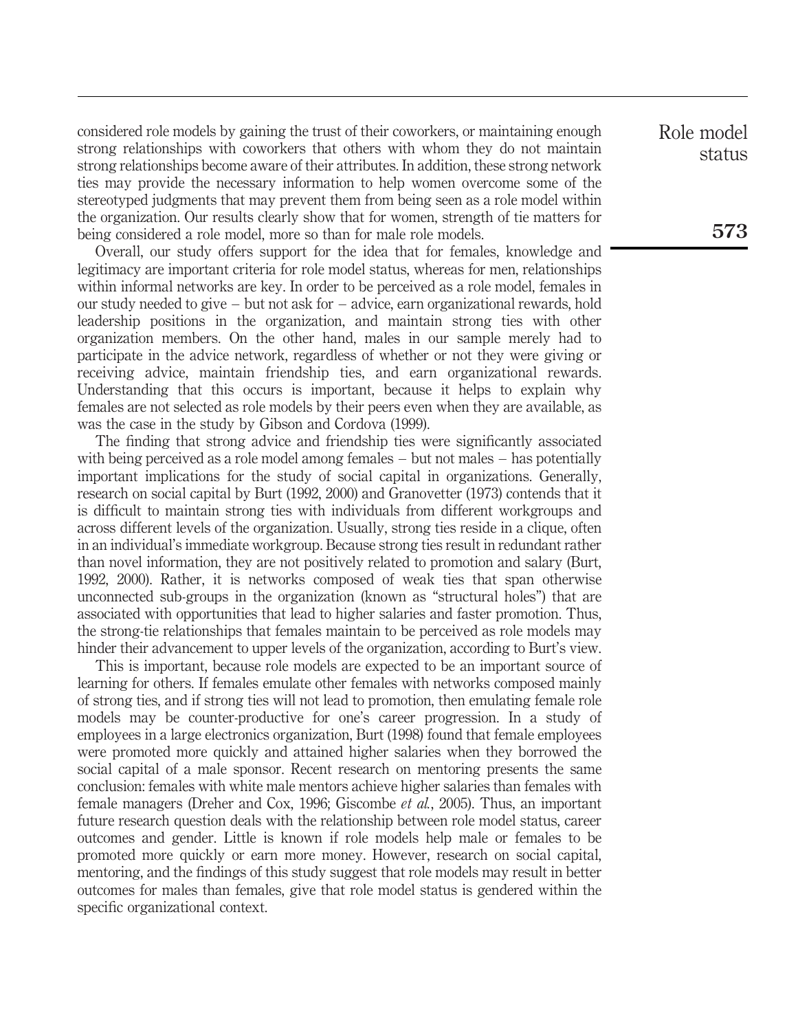considered role models by gaining the trust of their coworkers, or maintaining enough strong relationships with coworkers that others with whom they do not maintain strong relationships become aware of their attributes. In addition, these strong network ties may provide the necessary information to help women overcome some of the stereotyped judgments that may prevent them from being seen as a role model within the organization. Our results clearly show that for women, strength of tie matters for being considered a role model, more so than for male role models.

Overall, our study offers support for the idea that for females, knowledge and legitimacy are important criteria for role model status, whereas for men, relationships within informal networks are key. In order to be perceived as a role model, females in our study needed to give – but not ask for – advice, earn organizational rewards, hold leadership positions in the organization, and maintain strong ties with other organization members. On the other hand, males in our sample merely had to participate in the advice network, regardless of whether or not they were giving or receiving advice, maintain friendship ties, and earn organizational rewards. Understanding that this occurs is important, because it helps to explain why females are not selected as role models by their peers even when they are available, as was the case in the study by Gibson and Cordova (1999).

The finding that strong advice and friendship ties were significantly associated with being perceived as a role model among females – but not males – has potentially important implications for the study of social capital in organizations. Generally, research on social capital by Burt (1992, 2000) and Granovetter (1973) contends that it is difficult to maintain strong ties with individuals from different workgroups and across different levels of the organization. Usually, strong ties reside in a clique, often in an individual's immediate workgroup. Because strong ties result in redundant rather than novel information, they are not positively related to promotion and salary (Burt, 1992, 2000). Rather, it is networks composed of weak ties that span otherwise unconnected sub-groups in the organization (known as "structural holes") that are associated with opportunities that lead to higher salaries and faster promotion. Thus, the strong-tie relationships that females maintain to be perceived as role models may hinder their advancement to upper levels of the organization, according to Burt's view.

This is important, because role models are expected to be an important source of learning for others. If females emulate other females with networks composed mainly of strong ties, and if strong ties will not lead to promotion, then emulating female role models may be counter-productive for one's career progression. In a study of employees in a large electronics organization, Burt (1998) found that female employees were promoted more quickly and attained higher salaries when they borrowed the social capital of a male sponsor. Recent research on mentoring presents the same conclusion: females with white male mentors achieve higher salaries than females with female managers (Dreher and Cox, 1996; Giscombe et al., 2005). Thus, an important future research question deals with the relationship between role model status, career outcomes and gender. Little is known if role models help male or females to be promoted more quickly or earn more money. However, research on social capital, mentoring, and the findings of this study suggest that role models may result in better outcomes for males than females, give that role model status is gendered within the specific organizational context.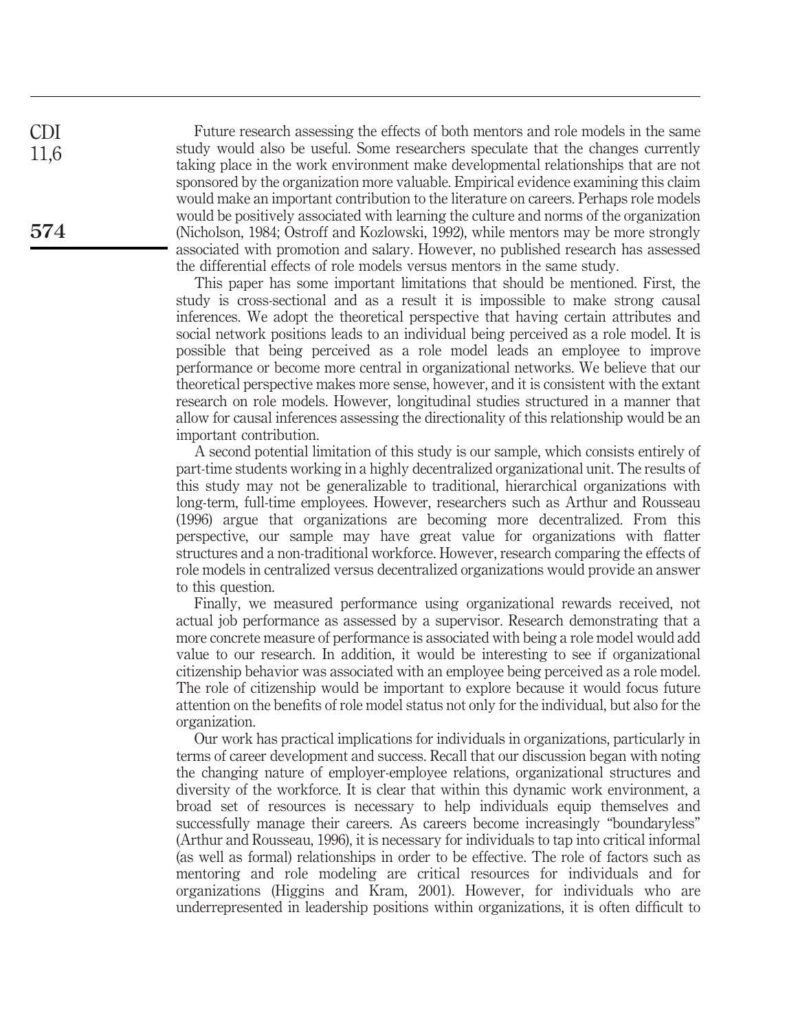Future research assessing the effects of both mentors and role models in the same study would also be useful. Some researchers speculate that the changes currently taking place in the work environment make developmental relationships that are not sponsored by the organization more valuable. Empirical evidence examining this claim would make an important contribution to the literature on careers. Perhaps role models would be positively associated with learning the culture and norms of the organization (Nicholson, 1984; Ostroff and Kozlowski, 1992), while mentors may be more strongly associated with promotion and salary. However, no published research has assessed the differential effects of role models versus mentors in the same study.

This paper has some important limitations that should be mentioned. First, the study is cross-sectional and as a result it is impossible to make strong causal inferences. We adopt the theoretical perspective that having certain attributes and social network positions leads to an individual being perceived as a role model. It is possible that being perceived as a role model leads an employee to improve performance or become more central in organizational networks. We believe that our theoretical perspective makes more sense, however, and it is consistent with the extant research on role models. However, longitudinal studies structured in a manner that allow for causal inferences assessing the directionality of this relationship would be an important contribution.

A second potential limitation of this study is our sample, which consists entirely of part-time students working in a highly decentralized organizational unit. The results of this study may not be generalizable to traditional, hierarchical organizations with long-term, full-time employees. However, researchers such as Arthur and Rousseau (1996) argue that organizations are becoming more decentralized. From this perspective, our sample may have great value for organizations with flatter structures and a non-traditional workforce. However, research comparing the effects of role models in centralized versus decentralized organizations would provide an answer to this question.

Finally, we measured performance using organizational rewards received, not actual job performance as assessed by a supervisor. Research demonstrating that a more concrete measure of performance is associated with being a role model would add value to our research. In addition, it would be interesting to see if organizational citizenship behavior was associated with an employee being perceived as a role model. The role of citizenship would be important to explore because it would focus future attention on the benefits of role model status not only for the individual, but also for the organization.

Our work has practical implications for individuals in organizations, particularly in terms of career development and success. Recall that our discussion began with noting the changing nature of employer-employee relations, organizational structures and diversity of the workforce. It is clear that within this dynamic work environment, a broad set of resources is necessary to help individuals equip themselves and successfully manage their careers. As careers become increasingly "boundaryless" (Arthur and Rousseau, 1996), it is necessary for individuals to tap into critical informal (as well as formal) relationships in order to be effective. The role of factors such as mentoring and role modeling are critical resources for individuals and for organizations (Higgins and Kram, 2001). However, for individuals who are underrepresented in leadership positions within organizations, it is often difficult to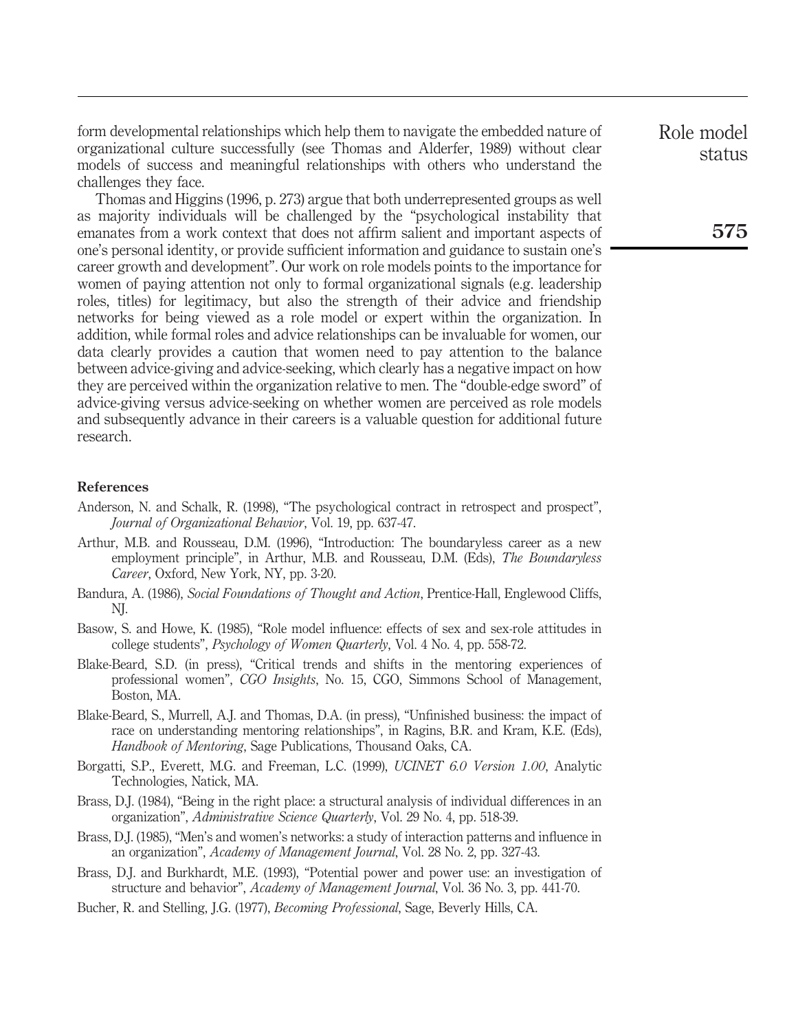form developmental relationships which help them to navigate the embedded nature of organizational culture successfully (see Thomas and Alderfer, 1989) without clear models of success and meaningful relationships with others who understand the challenges they face.

Thomas and Higgins (1996, p. 273) argue that both underrepresented groups as well as majority individuals will be challenged by the "psychological instability that emanates from a work context that does not affirm salient and important aspects of one's personal identity, or provide sufficient information and guidance to sustain one's career growth and development". Our work on role models points to the importance for women of paying attention not only to formal organizational signals (e.g. leadership roles, titles) for legitimacy, but also the strength of their advice and friendship networks for being viewed as a role model or expert within the organization. In addition, while formal roles and advice relationships can be invaluable for women, our data clearly provides a caution that women need to pay attention to the balance between advice-giving and advice-seeking, which clearly has a negative impact on how they are perceived within the organization relative to men. The "double-edge sword" of advice-giving versus advice-seeking on whether women are perceived as role models and subsequently advance in their careers is a valuable question for additional future research.

#### References

- Anderson, N. and Schalk, R. (1998), "The psychological contract in retrospect and prospect", Journal of Organizational Behavior, Vol. 19, pp. 637-47.
- Arthur, M.B. and Rousseau, D.M. (1996), "Introduction: The boundaryless career as a new employment principle", in Arthur, M.B. and Rousseau, D.M. (Eds), The Boundaryless Career, Oxford, New York, NY, pp. 3-20.
- Bandura, A. (1986), Social Foundations of Thought and Action, Prentice-Hall, Englewood Cliffs, NJ.
- Basow, S. and Howe, K. (1985), "Role model influence: effects of sex and sex-role attitudes in college students", Psychology of Women Quarterly, Vol. 4 No. 4, pp. 558-72.
- Blake-Beard, S.D. (in press), "Critical trends and shifts in the mentoring experiences of professional women", CGO Insights, No. 15, CGO, Simmons School of Management, Boston, MA.
- Blake-Beard, S., Murrell, A.J. and Thomas, D.A. (in press), "Unfinished business: the impact of race on understanding mentoring relationships", in Ragins, B.R. and Kram, K.E. (Eds), Handbook of Mentoring, Sage Publications, Thousand Oaks, CA.
- Borgatti, S.P., Everett, M.G. and Freeman, L.C. (1999), UCINET 6.0 Version 1.00, Analytic Technologies, Natick, MA.
- Brass, D.J. (1984), "Being in the right place: a structural analysis of individual differences in an organization", Administrative Science Quarterly, Vol. 29 No. 4, pp. 518-39.
- Brass, D.J. (1985), "Men's and women's networks: a study of interaction patterns and influence in an organization", Academy of Management Journal, Vol. 28 No. 2, pp. 327-43.
- Brass, D.J. and Burkhardt, M.E. (1993), "Potential power and power use: an investigation of structure and behavior", Academy of Management Journal, Vol. 36 No. 3, pp. 441-70.
- Bucher, R. and Stelling, J.G. (1977), Becoming Professional, Sage, Beverly Hills, CA.

Role model status

575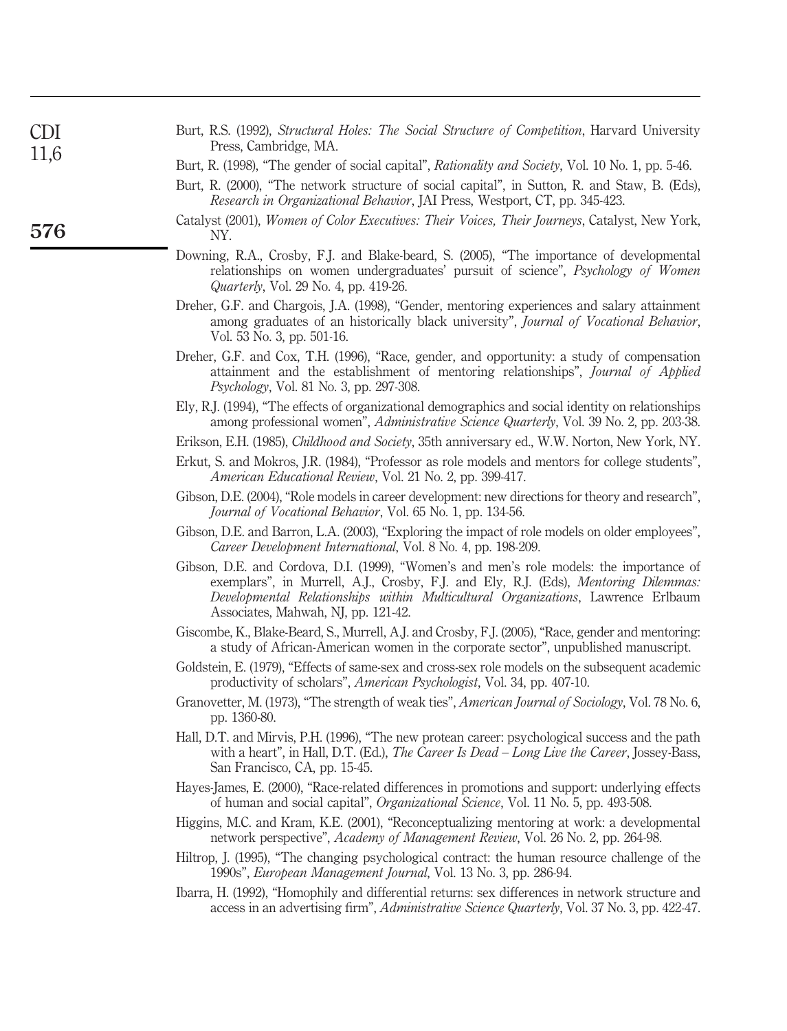| 11,6 | Press, Cambridge, MA.                                                                                                                                                                                                                                                                                      |
|------|------------------------------------------------------------------------------------------------------------------------------------------------------------------------------------------------------------------------------------------------------------------------------------------------------------|
|      | Burt, R. (1998), "The gender of social capital", <i>Rationality and Society</i> , Vol. 10 No. 1, pp. 5-46.                                                                                                                                                                                                 |
|      | Burt, R. (2000), "The network structure of social capital", in Sutton, R. and Staw, B. (Eds),<br>Research in Organizational Behavior, JAI Press, Westport, CT, pp. 345-423.                                                                                                                                |
| 576  | Catalyst (2001), Women of Color Executives: Their Voices, Their Journeys, Catalyst, New York,<br>NY.                                                                                                                                                                                                       |
|      | Downing, R.A., Crosby, F.J. and Blake-beard, S. (2005), "The importance of developmental<br>relationships on women undergraduates' pursuit of science", Psychology of Women<br><i>Quarterly</i> , Vol. 29 No. 4, pp. 419-26.                                                                               |
|      | Dreher, G.F. and Chargois, J.A. (1998), "Gender, mentoring experiences and salary attainment<br>among graduates of an historically black university", Journal of Vocational Behavior,<br>Vol. 53 No. 3, pp. 501-16.                                                                                        |
|      | Dreher, G.F. and Cox, T.H. (1996), "Race, gender, and opportunity: a study of compensation<br>attainment and the establishment of mentoring relationships", Journal of Applied<br><i>Psychology</i> , Vol. 81 No. 3, pp. 297-308.                                                                          |
|      | Ely, R.J. (1994), "The effects of organizational demographics and social identity on relationships<br>among professional women", Administrative Science Quarterly, Vol. 39 No. 2, pp. 203-38.                                                                                                              |
|      | Erikson, E.H. (1985), Childhood and Society, 35th anniversary ed., W.W. Norton, New York, NY.                                                                                                                                                                                                              |
|      | Erkut, S. and Mokros, J.R. (1984), "Professor as role models and mentors for college students",<br>American Educational Review, Vol. 21 No. 2, pp. 399-417.                                                                                                                                                |
|      | Gibson, D.E. (2004), "Role models in career development: new directions for theory and research",<br>Journal of Vocational Behavior, Vol. 65 No. 1, pp. 134-56.                                                                                                                                            |
|      | Gibson, D.E. and Barron, L.A. (2003), "Exploring the impact of role models on older employees",<br>Career Development International, Vol. 8 No. 4, pp. 198-209.                                                                                                                                            |
|      | Gibson, D.E. and Cordova, D.I. (1999), "Women's and men's role models: the importance of<br>exemplars", in Murrell, A.J., Crosby, F.J. and Ely, R.J. (Eds), Mentoring Dilemmas:<br>Developmental Relationships within Multicultural Organizations, Lawrence Erlbaum<br>Associates, Mahwah, NJ, pp. 121-42. |
|      | Giscombe, K., Blake-Beard, S., Murrell, A.J. and Crosby, F.J. (2005), "Race, gender and mentoring:<br>a study of African-American women in the corporate sector", unpublished manuscript.                                                                                                                  |
|      | Goldstein, E. (1979), "Effects of same-sex and cross-sex role models on the subsequent academic<br>productivity of scholars", American Psychologist, Vol. 34, pp. 407-10.                                                                                                                                  |
|      | Granovetter, M. (1973), "The strength of weak ties", American Journal of Sociology, Vol. 78 No. 6,<br>pp. 1360-80.                                                                                                                                                                                         |
|      | Hall, D.T. and Mirvis, P.H. (1996), "The new protean career: psychological success and the path<br>with a heart", in Hall, D.T. (Ed.), The Career Is Dead - Long Live the Career, Jossey-Bass,<br>San Francisco, CA, pp. 15-45.                                                                            |
|      | Hayes-James, E. (2000), "Race-related differences in promotions and support: underlying effects<br>of human and social capital", <i>Organizational Science</i> , Vol. 11 No. 5, pp. 493-508.                                                                                                               |
|      | Higgins, M.C. and Kram, K.E. (2001), "Reconceptualizing mentoring at work: a developmental<br>network perspective", Academy of Management Review, Vol. 26 No. 2, pp. 264-98.                                                                                                                               |
|      | Hiltrop, J. (1995), "The changing psychological contract: the human resource challenge of the<br>1990s", European Management Journal, Vol. 13 No. 3, pp. 286-94.                                                                                                                                           |
|      | Ibarra, H. (1992), "Homophily and differential returns: sex differences in network structure and<br>access in an advertising firm", <i>Administrative Science Quarterly</i> , Vol. 37 No. 3, pp. 422-47.                                                                                                   |
|      |                                                                                                                                                                                                                                                                                                            |
|      |                                                                                                                                                                                                                                                                                                            |
|      |                                                                                                                                                                                                                                                                                                            |

Burt, R.S. (1992), Structural Holes: The Social Structure of Competition, Harvard University

CDI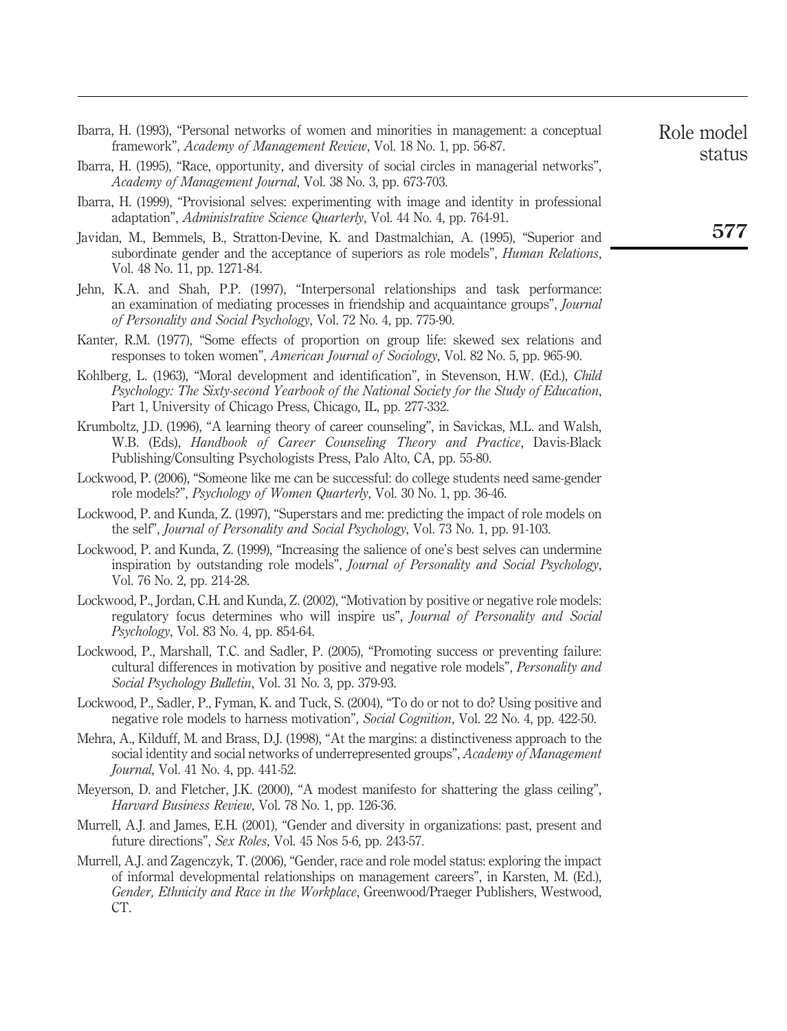| framework", <i>Academy of Management Review</i> , Vol. 18 No. 1, pp. 56-87.                                                                                                                                                                                                               |        |
|-------------------------------------------------------------------------------------------------------------------------------------------------------------------------------------------------------------------------------------------------------------------------------------------|--------|
| Ibarra, H. (1995), "Race, opportunity, and diversity of social circles in managerial networks",<br>Academy of Management Journal, Vol. 38 No. 3, pp. 673-703.                                                                                                                             | status |
| Ibarra, H. (1999), "Provisional selves: experimenting with image and identity in professional<br>adaptation", Administrative Science Quarterly, Vol. 44 No. 4, pp. 764-91.                                                                                                                |        |
| Javidan, M., Bemmels, B., Stratton-Devine, K. and Dastmalchian, A. (1995), "Superior and<br>subordinate gender and the acceptance of superiors as role models", Human Relations,<br>Vol. 48 No. 11, pp. 1271-84.                                                                          | 577    |
| Jehn, K.A. and Shah, P.P. (1997), "Interpersonal relationships and task performance:<br>an examination of mediating processes in friendship and acquaintance groups", Journal<br>of Personality and Social Psychology, Vol. 72 No. 4, pp. 775-90.                                         |        |
| Kanter, R.M. (1977), "Some effects of proportion on group life: skewed sex relations and<br>responses to token women", American Journal of Sociology, Vol. 82 No. 5, pp. 965-90.                                                                                                          |        |
| Kohlberg, L. (1963), "Moral development and identification", in Stevenson, H.W. (Ed.), Child<br>Psychology: The Sixty-second Yearbook of the National Society for the Study of Education,<br>Part 1, University of Chicago Press, Chicago, IL, pp. 277-332.                               |        |
| Krumboltz, J.D. (1996), "A learning theory of career counseling", in Savickas, M.L. and Walsh,<br>W.B. (Eds), Handbook of Career Counseling Theory and Practice, Davis-Black<br>Publishing/Consulting Psychologists Press, Palo Alto, CA, pp. 55-80.                                      |        |
| Lockwood, P. (2006), "Someone like me can be successful: do college students need same-gender<br>role models?", <i>Psychology of Women Quarterly</i> , Vol. 30 No. 1, pp. 36-46.                                                                                                          |        |
| Lockwood, P. and Kunda, Z. (1997), "Superstars and me: predicting the impact of role models on<br>the self", Journal of Personality and Social Psychology, Vol. 73 No. 1, pp. 91-103.                                                                                                     |        |
| Lockwood, P. and Kunda, Z. (1999), "Increasing the salience of one's best selves can undermine<br>inspiration by outstanding role models", Journal of Personality and Social Psychology,<br>Vol. 76 No. 2, pp. 214-28.                                                                    |        |
| Lockwood, P., Jordan, C.H. and Kunda, Z. (2002), "Motivation by positive or negative role models:<br>regulatory focus determines who will inspire us", Journal of Personality and Social<br><i>Psychology</i> , Vol. 83 No. 4, pp. 854-64.                                                |        |
| Lockwood, P., Marshall, T.C. and Sadler, P. (2005), "Promoting success or preventing failure:<br>cultural differences in motivation by positive and negative role models", Personality and<br>Social Psychology Bulletin, Vol. 31 No. 3, pp. 379-93.                                      |        |
| Lockwood, P., Sadler, P., Fyman, K. and Tuck, S. (2004), "To do or not to do? Using positive and<br>negative role models to harness motivation", Social Cognition, Vol. 22 No. 4, pp. 422-50.                                                                                             |        |
| Mehra, A., Kilduff, M. and Brass, D.J. (1998), "At the margins: a distinctiveness approach to the<br>social identity and social networks of underrepresented groups", Academy of Management<br><i>Journal</i> , Vol. 41 No. 4, pp. 441-52.                                                |        |
| Meyerson, D. and Fletcher, J.K. (2000), "A modest manifesto for shattering the glass ceiling",<br><i>Harvard Business Review, Vol. 78 No. 1, pp. 126-36.</i>                                                                                                                              |        |
| Murrell, A.J. and James, E.H. (2001), "Gender and diversity in organizations: past, present and<br>future directions", Sex Roles, Vol. 45 Nos 5-6, pp. 243-57.                                                                                                                            |        |
| Murrell, A.J. and Zagenczyk, T. (2006), "Gender, race and role model status: exploring the impact<br>of informal developmental relationships on management careers", in Karsten, M. (Ed.),<br>Gender, Ethnicity and Race in the Workplace, Greenwood/Praeger Publishers, Westwood,<br>CT. |        |
|                                                                                                                                                                                                                                                                                           |        |

Ibarra, H. (1993), "Personal networks of women and minorities in management: a conceptual

Role model

framework", Academy of Management Review, Vol. 18 No. 1, pp. 56-87.